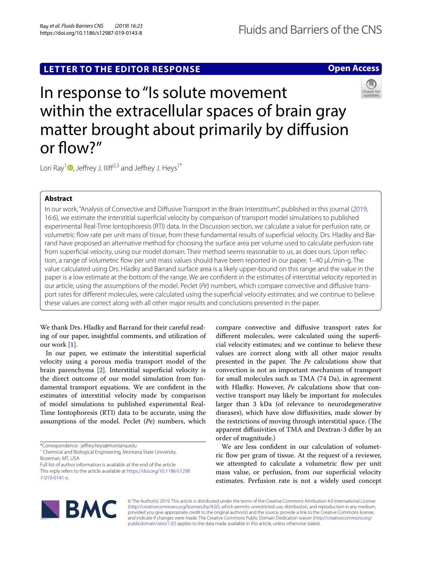## **LETTER TO THE EDITOR RESPONSE**

## **Open Access**



# In response to "Is solute movement within the extracellular spaces of brain gray matter brought about primarily by difusion or flow?"

Lori Ray<sup>1</sup> [,](http://orcid.org/0000-0001-9083-7493) Jeffrey J. Iliff<sup>2,3</sup> and Jeffrey J. Heys<sup>1\*</sup>

### **Abstract**

In our work, "Analysis of Convective and Difusive Transport in the Brain Interstitium", published in this journal [\(2019,](#page-1-0) 16:6), we estimate the interstitial superfcial velocity by comparison of transport model simulations to published experimental Real-Time Iontophoresis (RTI) data. In the Discussion section, we calculate a value for perfusion rate, or volumetric fow rate per unit mass of tissue, from these fundamental results of superfcial velocity. Drs. Hladky and Barrand have proposed an alternative method for choosing the surface area per volume used to calculate perfusion rate from superfcial velocity, using our model domain. Their method seems reasonable to us, as does ours. Upon refection, a range of volumetric fow per unit mass values should have been reported in our paper, 1–40 μL/min-g. The value calculated using Drs. Hladky and Barrand surface area is a likely upper-bound on this range and the value in the paper is a low estimate at the bottom of the range. We are confdent in the estimates of interstitial velocity reported in our article, using the assumptions of the model. Peclet (*Pe*) numbers, which compare convective and difusive transport rates for diferent molecules, were calculated using the superfcial velocity estimates; and we continue to believe these values are correct along with all other major results and conclusions presented in the paper.

We thank Drs. Hladky and Barrand for their careful reading of our paper, insightful comments, and utilization of our work [\[1](#page-1-1)].

In our paper, we estimate the interstitial superficial velocity using a porous media transport model of the brain parenchyma [\[2\]](#page-1-0). Interstitial superficial velocity is the direct outcome of our model simulation from fundamental transport equations. We are confdent in the estimates of interstitial velocity made by comparison of model simulations to published experimental Real-Time Iontophoresis (RTI) data to be accurate, using the assumptions of the model. Peclet (*Pe*) numbers, which compare convective and difusive transport rates for diferent molecules, were calculated using the superfcial velocity estimates; and we continue to believe these values are correct along with all other major results presented in the paper. The *Pe* calculations show that convection is not an important mechanism of transport for small molecules such as TMA (74 Da), in agreement with Hladky. However, *Pe* calculations show that convective transport may likely be important for molecules larger than 3 kDa (of relevance to neurodegenerative diseases), which have slow difusivities, made slower by the restrictions of moving through interstitial space. (The apparent difusivities of TMA and Dextran-3 difer by an order of magnitude.)

We are less confdent in our calculation of volumetric flow per gram of tissue. At the request of a reviewer, we attempted to calculate a volumetric flow per unit mass value, or perfusion, from our superficial velocity estimates. Perfusion rate is not a widely used concept



© The Author(s) 2019. This article is distributed under the terms of the Creative Commons Attribution 4.0 International License [\(http://creativecommons.org/licenses/by/4.0/\)](http://creativecommons.org/licenses/by/4.0/), which permits unrestricted use, distribution, and reproduction in any medium, provided you give appropriate credit to the original author(s) and the source, provide a link to the Creative Commons license, and indicate if changes were made. The Creative Commons Public Domain Dedication waiver ([http://creativecommons.org/](http://creativecommons.org/publicdomain/zero/1.0/) [publicdomain/zero/1.0/](http://creativecommons.org/publicdomain/zero/1.0/)) applies to the data made available in this article, unless otherwise stated.

<sup>\*</sup>Correspondence: jefrey.heys@montana.edu

<sup>&</sup>lt;sup>1</sup> Chemical and Biological Engineering, Montana State University, Bozeman, MT, USA

Full list of author information is available at the end of the article

This reply refers to the article available at [https://doi.org/10.1186/s1298](https://doi.org/10.1186/s12987-019-0141-x) [7-019-0141-x.](https://doi.org/10.1186/s12987-019-0141-x)